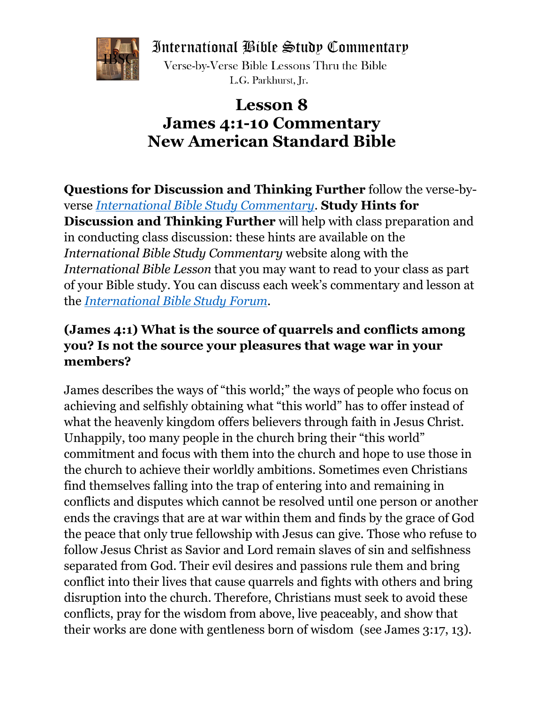International Bible Study Commentary



Verse-by-Verse Bible Lessons Thru the Bible L.G. Parkhurst. Ir.

# **Lesson 8 James 4:1-10 Commentary New American Standard Bible**

**Questions for Discussion and Thinking Further** follow the verse-byverse *[International Bible Study](https://www.ouosu.com/IBLC/) Commentary*. **Study Hints for Discussion and Thinking Further** will help with class preparation and in conducting class discussion: these hints are available on the *International Bible Study Commentary* website along with the *International Bible Lesson* that you may want to read to your class as part of your Bible study. You can discuss each week's commentary and lesson at the *[International Bible Study](http://www.ouosu.com/IBSForum/) Forum*.

## **(James 4:1) What is the source of quarrels and conflicts among you? Is not the source your pleasures that wage war in your members?**

James describes the ways of "this world;" the ways of people who focus on achieving and selfishly obtaining what "this world" has to offer instead of what the heavenly kingdom offers believers through faith in Jesus Christ. Unhappily, too many people in the church bring their "this world" commitment and focus with them into the church and hope to use those in the church to achieve their worldly ambitions. Sometimes even Christians find themselves falling into the trap of entering into and remaining in conflicts and disputes which cannot be resolved until one person or another ends the cravings that are at war within them and finds by the grace of God the peace that only true fellowship with Jesus can give. Those who refuse to follow Jesus Christ as Savior and Lord remain slaves of sin and selfishness separated from God. Their evil desires and passions rule them and bring conflict into their lives that cause quarrels and fights with others and bring disruption into the church. Therefore, Christians must seek to avoid these conflicts, pray for the wisdom from above, live peaceably, and show that their works are done with gentleness born of wisdom (see James 3:17, 13).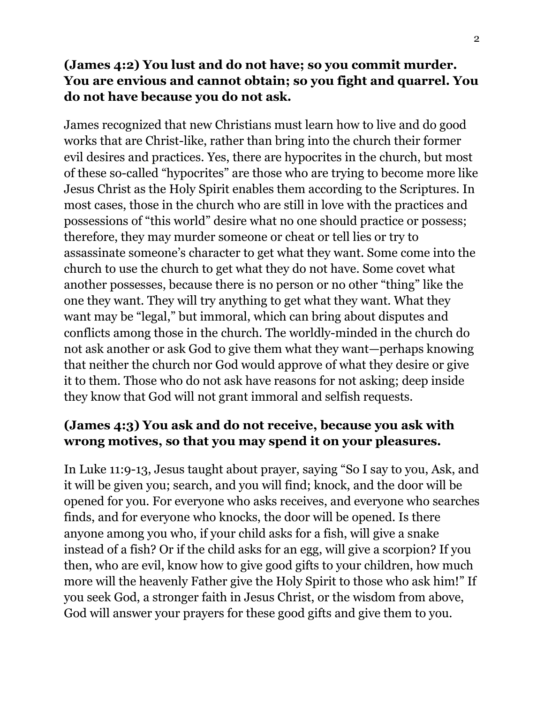#### **(James 4:2) You lust and do not have; so you commit murder. You are envious and cannot obtain; so you fight and quarrel. You do not have because you do not ask.**

James recognized that new Christians must learn how to live and do good works that are Christ-like, rather than bring into the church their former evil desires and practices. Yes, there are hypocrites in the church, but most of these so-called "hypocrites" are those who are trying to become more like Jesus Christ as the Holy Spirit enables them according to the Scriptures. In most cases, those in the church who are still in love with the practices and possessions of "this world" desire what no one should practice or possess; therefore, they may murder someone or cheat or tell lies or try to assassinate someone's character to get what they want. Some come into the church to use the church to get what they do not have. Some covet what another possesses, because there is no person or no other "thing" like the one they want. They will try anything to get what they want. What they want may be "legal," but immoral, which can bring about disputes and conflicts among those in the church. The worldly-minded in the church do not ask another or ask God to give them what they want—perhaps knowing that neither the church nor God would approve of what they desire or give it to them. Those who do not ask have reasons for not asking; deep inside they know that God will not grant immoral and selfish requests.

### **(James 4:3) You ask and do not receive, because you ask with wrong motives, so that you may spend it on your pleasures.**

In Luke 11:9-13, Jesus taught about prayer, saying "So I say to you, Ask, and it will be given you; search, and you will find; knock, and the door will be opened for you. For everyone who asks receives, and everyone who searches finds, and for everyone who knocks, the door will be opened. Is there anyone among you who, if your child asks for a fish, will give a snake instead of a fish? Or if the child asks for an egg, will give a scorpion? If you then, who are evil, know how to give good gifts to your children, how much more will the heavenly Father give the Holy Spirit to those who ask him!" If you seek God, a stronger faith in Jesus Christ, or the wisdom from above, God will answer your prayers for these good gifts and give them to you.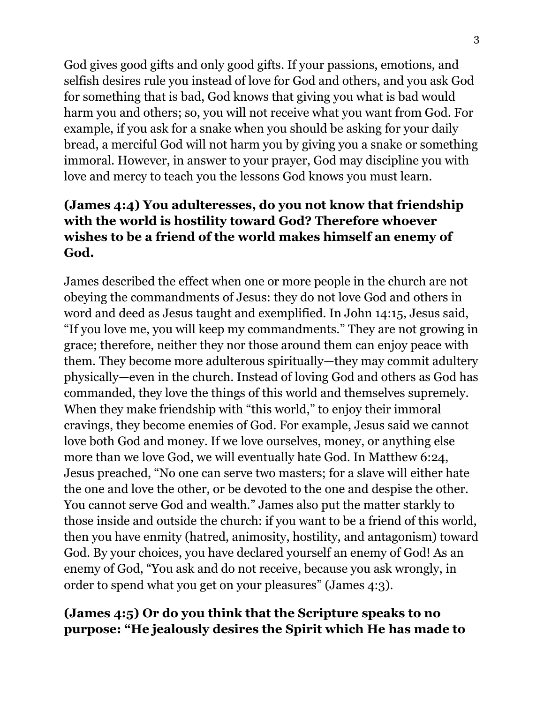God gives good gifts and only good gifts. If your passions, emotions, and selfish desires rule you instead of love for God and others, and you ask God for something that is bad, God knows that giving you what is bad would harm you and others; so, you will not receive what you want from God. For example, if you ask for a snake when you should be asking for your daily bread, a merciful God will not harm you by giving you a snake or something immoral. However, in answer to your prayer, God may discipline you with love and mercy to teach you the lessons God knows you must learn.

## **(James 4:4) You adulteresses, do you not know that friendship with the world is hostility toward God? Therefore whoever wishes to be a friend of the world makes himself an enemy of God.**

James described the effect when one or more people in the church are not obeying the commandments of Jesus: they do not love God and others in word and deed as Jesus taught and exemplified. In John 14:15, Jesus said, "If you love me, you will keep my commandments." They are not growing in grace; therefore, neither they nor those around them can enjoy peace with them. They become more adulterous spiritually—they may commit adultery physically—even in the church. Instead of loving God and others as God has commanded, they love the things of this world and themselves supremely. When they make friendship with "this world," to enjoy their immoral cravings, they become enemies of God. For example, Jesus said we cannot love both God and money. If we love ourselves, money, or anything else more than we love God, we will eventually hate God. In Matthew 6:24, Jesus preached, "No one can serve two masters; for a slave will either hate the one and love the other, or be devoted to the one and despise the other. You cannot serve God and wealth." James also put the matter starkly to those inside and outside the church: if you want to be a friend of this world, then you have enmity (hatred, animosity, hostility, and antagonism) toward God. By your choices, you have declared yourself an enemy of God! As an enemy of God, "You ask and do not receive, because you ask wrongly, in order to spend what you get on your pleasures" (James 4:3).

## **(James 4:5) Or do you think that the Scripture speaks to no purpose: "He jealously desires the Spirit which He has made to**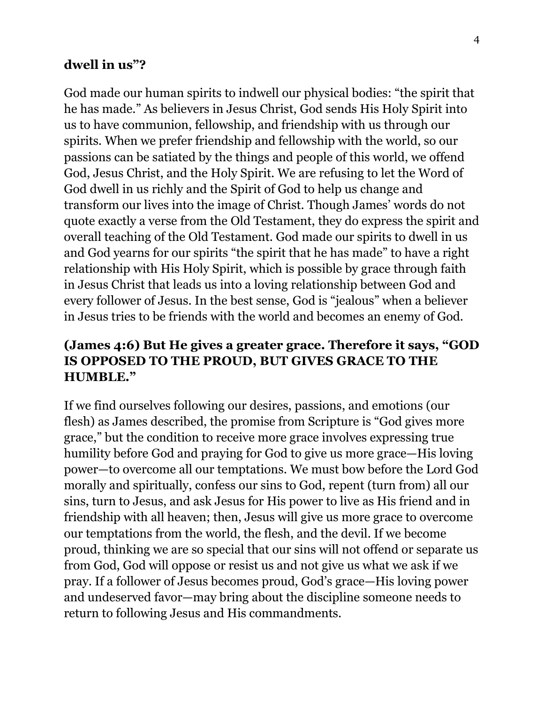#### **dwell in us"?**

God made our human spirits to indwell our physical bodies: "the spirit that he has made." As believers in Jesus Christ, God sends His Holy Spirit into us to have communion, fellowship, and friendship with us through our spirits. When we prefer friendship and fellowship with the world, so our passions can be satiated by the things and people of this world, we offend God, Jesus Christ, and the Holy Spirit. We are refusing to let the Word of God dwell in us richly and the Spirit of God to help us change and transform our lives into the image of Christ. Though James' words do not quote exactly a verse from the Old Testament, they do express the spirit and overall teaching of the Old Testament. God made our spirits to dwell in us and God yearns for our spirits "the spirit that he has made" to have a right relationship with His Holy Spirit, which is possible by grace through faith in Jesus Christ that leads us into a loving relationship between God and every follower of Jesus. In the best sense, God is "jealous" when a believer in Jesus tries to be friends with the world and becomes an enemy of God.

#### **(James 4:6) But He gives a greater grace. Therefore it says, "GOD IS OPPOSED TO THE PROUD, BUT GIVES GRACE TO THE HUMBLE."**

If we find ourselves following our desires, passions, and emotions (our flesh) as James described, the promise from Scripture is "God gives more grace," but the condition to receive more grace involves expressing true humility before God and praying for God to give us more grace—His loving power—to overcome all our temptations. We must bow before the Lord God morally and spiritually, confess our sins to God, repent (turn from) all our sins, turn to Jesus, and ask Jesus for His power to live as His friend and in friendship with all heaven; then, Jesus will give us more grace to overcome our temptations from the world, the flesh, and the devil. If we become proud, thinking we are so special that our sins will not offend or separate us from God, God will oppose or resist us and not give us what we ask if we pray. If a follower of Jesus becomes proud, God's grace—His loving power and undeserved favor—may bring about the discipline someone needs to return to following Jesus and His commandments.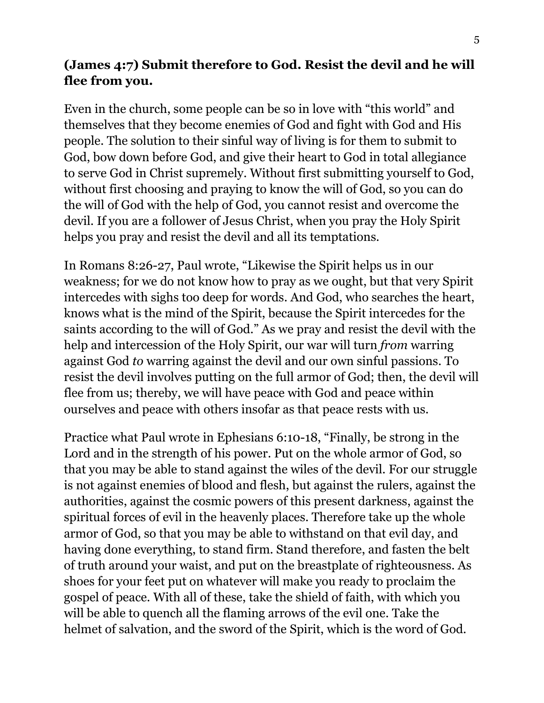## **(James 4:7) Submit therefore to God. Resist the devil and he will flee from you.**

Even in the church, some people can be so in love with "this world" and themselves that they become enemies of God and fight with God and His people. The solution to their sinful way of living is for them to submit to God, bow down before God, and give their heart to God in total allegiance to serve God in Christ supremely. Without first submitting yourself to God, without first choosing and praying to know the will of God, so you can do the will of God with the help of God, you cannot resist and overcome the devil. If you are a follower of Jesus Christ, when you pray the Holy Spirit helps you pray and resist the devil and all its temptations.

In Romans 8:26-27, Paul wrote, "Likewise the Spirit helps us in our weakness; for we do not know how to pray as we ought, but that very Spirit intercedes with sighs too deep for words. And God, who searches the heart, knows what is the mind of the Spirit, because the Spirit intercedes for the saints according to the will of God." As we pray and resist the devil with the help and intercession of the Holy Spirit, our war will turn *from* warring against God *to* warring against the devil and our own sinful passions. To resist the devil involves putting on the full armor of God; then, the devil will flee from us; thereby, we will have peace with God and peace within ourselves and peace with others insofar as that peace rests with us.

Practice what Paul wrote in Ephesians 6:10-18, "Finally, be strong in the Lord and in the strength of his power. Put on the whole armor of God, so that you may be able to stand against the wiles of the devil. For our struggle is not against enemies of blood and flesh, but against the rulers, against the authorities, against the cosmic powers of this present darkness, against the spiritual forces of evil in the heavenly places. Therefore take up the whole armor of God, so that you may be able to withstand on that evil day, and having done everything, to stand firm. Stand therefore, and fasten the belt of truth around your waist, and put on the breastplate of righteousness. As shoes for your feet put on whatever will make you ready to proclaim the gospel of peace. With all of these, take the shield of faith, with which you will be able to quench all the flaming arrows of the evil one. Take the helmet of salvation, and the sword of the Spirit, which is the word of God.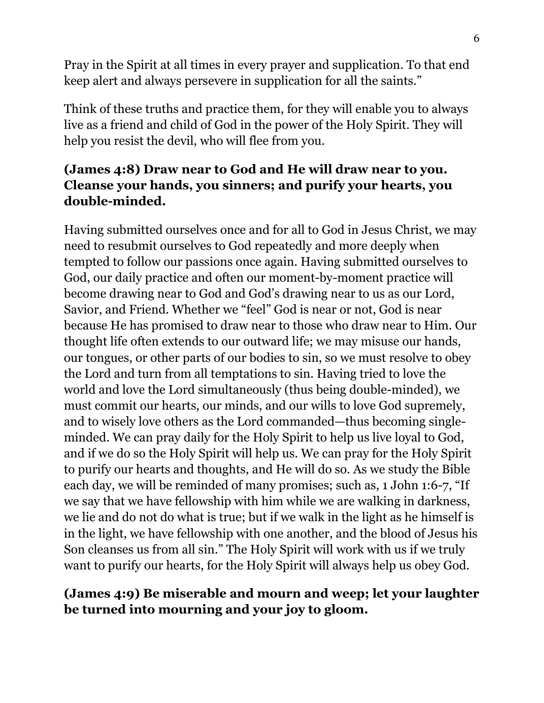Pray in the Spirit at all times in every prayer and supplication. To that end keep alert and always persevere in supplication for all the saints."

Think of these truths and practice them, for they will enable you to always live as a friend and child of God in the power of the Holy Spirit. They will help you resist the devil, who will flee from you.

## **(James 4:8) Draw near to God and He will draw near to you. Cleanse your hands, you sinners; and purify your hearts, you double-minded.**

Having submitted ourselves once and for all to God in Jesus Christ, we may need to resubmit ourselves to God repeatedly and more deeply when tempted to follow our passions once again. Having submitted ourselves to God, our daily practice and often our moment-by-moment practice will become drawing near to God and God's drawing near to us as our Lord, Savior, and Friend. Whether we "feel" God is near or not, God is near because He has promised to draw near to those who draw near to Him. Our thought life often extends to our outward life; we may misuse our hands, our tongues, or other parts of our bodies to sin, so we must resolve to obey the Lord and turn from all temptations to sin. Having tried to love the world and love the Lord simultaneously (thus being double-minded), we must commit our hearts, our minds, and our wills to love God supremely, and to wisely love others as the Lord commanded—thus becoming singleminded. We can pray daily for the Holy Spirit to help us live loyal to God, and if we do so the Holy Spirit will help us. We can pray for the Holy Spirit to purify our hearts and thoughts, and He will do so. As we study the Bible each day, we will be reminded of many promises; such as, 1 John 1:6-7, "If we say that we have fellowship with him while we are walking in darkness, we lie and do not do what is true; but if we walk in the light as he himself is in the light, we have fellowship with one another, and the blood of Jesus his Son cleanses us from all sin." The Holy Spirit will work with us if we truly want to purify our hearts, for the Holy Spirit will always help us obey God.

## **(James 4:9) Be miserable and mourn and weep; let your laughter be turned into mourning and your joy to gloom.**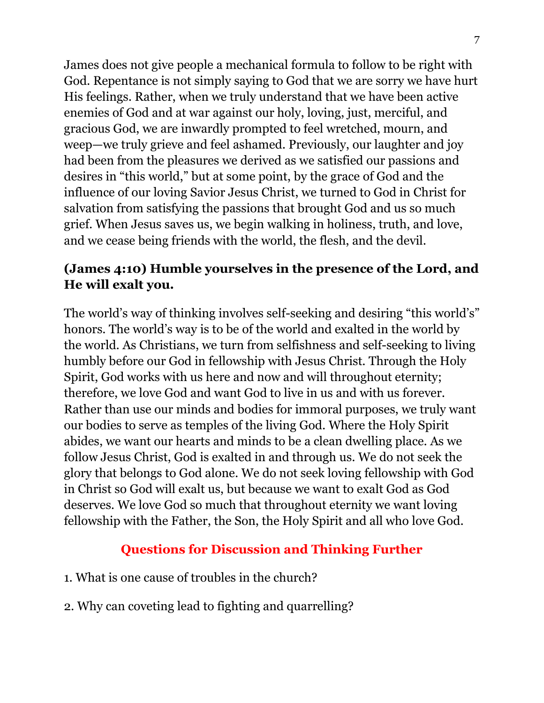James does not give people a mechanical formula to follow to be right with God. Repentance is not simply saying to God that we are sorry we have hurt His feelings. Rather, when we truly understand that we have been active enemies of God and at war against our holy, loving, just, merciful, and gracious God, we are inwardly prompted to feel wretched, mourn, and weep—we truly grieve and feel ashamed. Previously, our laughter and joy had been from the pleasures we derived as we satisfied our passions and desires in "this world," but at some point, by the grace of God and the influence of our loving Savior Jesus Christ, we turned to God in Christ for salvation from satisfying the passions that brought God and us so much grief. When Jesus saves us, we begin walking in holiness, truth, and love, and we cease being friends with the world, the flesh, and the devil.

## **(James 4:10) Humble yourselves in the presence of the Lord, and He will exalt you.**

The world's way of thinking involves self-seeking and desiring "this world's" honors. The world's way is to be of the world and exalted in the world by the world. As Christians, we turn from selfishness and self-seeking to living humbly before our God in fellowship with Jesus Christ. Through the Holy Spirit, God works with us here and now and will throughout eternity; therefore, we love God and want God to live in us and with us forever. Rather than use our minds and bodies for immoral purposes, we truly want our bodies to serve as temples of the living God. Where the Holy Spirit abides, we want our hearts and minds to be a clean dwelling place. As we follow Jesus Christ, God is exalted in and through us. We do not seek the glory that belongs to God alone. We do not seek loving fellowship with God in Christ so God will exalt us, but because we want to exalt God as God deserves. We love God so much that throughout eternity we want loving fellowship with the Father, the Son, the Holy Spirit and all who love God.

## **Questions for Discussion and Thinking Further**

- 1. What is one cause of troubles in the church?
- 2. Why can coveting lead to fighting and quarrelling?